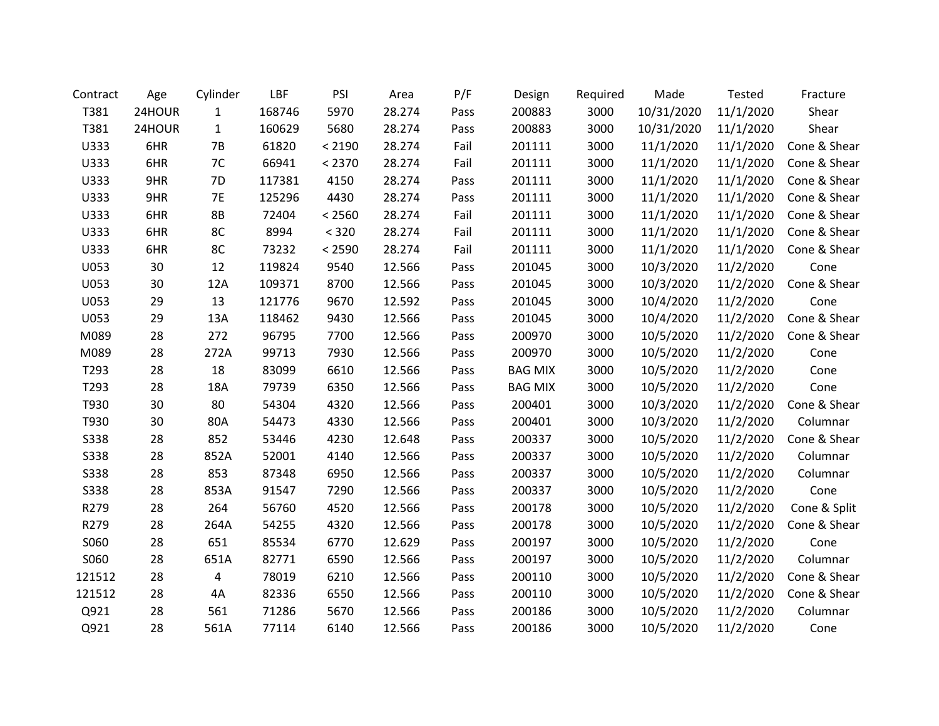| Contract    | Age    | Cylinder       | LBF    | PSI    | Area   | P/F  | Design         | Required | Made       | <b>Tested</b> | Fracture     |
|-------------|--------|----------------|--------|--------|--------|------|----------------|----------|------------|---------------|--------------|
| T381        | 24HOUR | $\mathbf{1}$   | 168746 | 5970   | 28.274 | Pass | 200883         | 3000     | 10/31/2020 | 11/1/2020     | Shear        |
| T381        | 24HOUR | $\mathbf{1}$   | 160629 | 5680   | 28.274 | Pass | 200883         | 3000     | 10/31/2020 | 11/1/2020     | Shear        |
| U333        | 6HR    | <b>7B</b>      | 61820  | < 2190 | 28.274 | Fail | 201111         | 3000     | 11/1/2020  | 11/1/2020     | Cone & Shear |
| U333        | 6HR    | 7C             | 66941  | < 2370 | 28.274 | Fail | 201111         | 3000     | 11/1/2020  | 11/1/2020     | Cone & Shear |
| U333        | 9HR    | 7D             | 117381 | 4150   | 28.274 | Pass | 201111         | 3000     | 11/1/2020  | 11/1/2020     | Cone & Shear |
| U333        | 9HR    | <b>7E</b>      | 125296 | 4430   | 28.274 | Pass | 201111         | 3000     | 11/1/2020  | 11/1/2020     | Cone & Shear |
| U333        | 6HR    | <b>8B</b>      | 72404  | < 2560 | 28.274 | Fail | 201111         | 3000     | 11/1/2020  | 11/1/2020     | Cone & Shear |
| U333        | 6HR    | 8C             | 8994   | < 320  | 28.274 | Fail | 201111         | 3000     | 11/1/2020  | 11/1/2020     | Cone & Shear |
| U333        | 6HR    | 8C             | 73232  | < 2590 | 28.274 | Fail | 201111         | 3000     | 11/1/2020  | 11/1/2020     | Cone & Shear |
| U053        | 30     | 12             | 119824 | 9540   | 12.566 | Pass | 201045         | 3000     | 10/3/2020  | 11/2/2020     | Cone         |
| U053        | 30     | 12A            | 109371 | 8700   | 12.566 | Pass | 201045         | 3000     | 10/3/2020  | 11/2/2020     | Cone & Shear |
| U053        | 29     | 13             | 121776 | 9670   | 12.592 | Pass | 201045         | 3000     | 10/4/2020  | 11/2/2020     | Cone         |
| U053        | 29     | 13A            | 118462 | 9430   | 12.566 | Pass | 201045         | 3000     | 10/4/2020  | 11/2/2020     | Cone & Shear |
| M089        | 28     | 272            | 96795  | 7700   | 12.566 | Pass | 200970         | 3000     | 10/5/2020  | 11/2/2020     | Cone & Shear |
| M089        | 28     | 272A           | 99713  | 7930   | 12.566 | Pass | 200970         | 3000     | 10/5/2020  | 11/2/2020     | Cone         |
| T293        | 28     | 18             | 83099  | 6610   | 12.566 | Pass | <b>BAG MIX</b> | 3000     | 10/5/2020  | 11/2/2020     | Cone         |
| T293        | 28     | 18A            | 79739  | 6350   | 12.566 | Pass | <b>BAG MIX</b> | 3000     | 10/5/2020  | 11/2/2020     | Cone         |
| T930        | 30     | 80             | 54304  | 4320   | 12.566 | Pass | 200401         | 3000     | 10/3/2020  | 11/2/2020     | Cone & Shear |
| T930        | 30     | 80A            | 54473  | 4330   | 12.566 | Pass | 200401         | 3000     | 10/3/2020  | 11/2/2020     | Columnar     |
| <b>S338</b> | 28     | 852            | 53446  | 4230   | 12.648 | Pass | 200337         | 3000     | 10/5/2020  | 11/2/2020     | Cone & Shear |
| <b>S338</b> | 28     | 852A           | 52001  | 4140   | 12.566 | Pass | 200337         | 3000     | 10/5/2020  | 11/2/2020     | Columnar     |
| <b>S338</b> | 28     | 853            | 87348  | 6950   | 12.566 | Pass | 200337         | 3000     | 10/5/2020  | 11/2/2020     | Columnar     |
| <b>S338</b> | 28     | 853A           | 91547  | 7290   | 12.566 | Pass | 200337         | 3000     | 10/5/2020  | 11/2/2020     | Cone         |
| R279        | 28     | 264            | 56760  | 4520   | 12.566 | Pass | 200178         | 3000     | 10/5/2020  | 11/2/2020     | Cone & Split |
| R279        | 28     | 264A           | 54255  | 4320   | 12.566 | Pass | 200178         | 3000     | 10/5/2020  | 11/2/2020     | Cone & Shear |
| S060        | 28     | 651            | 85534  | 6770   | 12.629 | Pass | 200197         | 3000     | 10/5/2020  | 11/2/2020     | Cone         |
| S060        | 28     | 651A           | 82771  | 6590   | 12.566 | Pass | 200197         | 3000     | 10/5/2020  | 11/2/2020     | Columnar     |
| 121512      | 28     | $\overline{4}$ | 78019  | 6210   | 12.566 | Pass | 200110         | 3000     | 10/5/2020  | 11/2/2020     | Cone & Shear |
| 121512      | 28     | 4A             | 82336  | 6550   | 12.566 | Pass | 200110         | 3000     | 10/5/2020  | 11/2/2020     | Cone & Shear |
| Q921        | 28     | 561            | 71286  | 5670   | 12.566 | Pass | 200186         | 3000     | 10/5/2020  | 11/2/2020     | Columnar     |
| Q921        | 28     | 561A           | 77114  | 6140   | 12.566 | Pass | 200186         | 3000     | 10/5/2020  | 11/2/2020     | Cone         |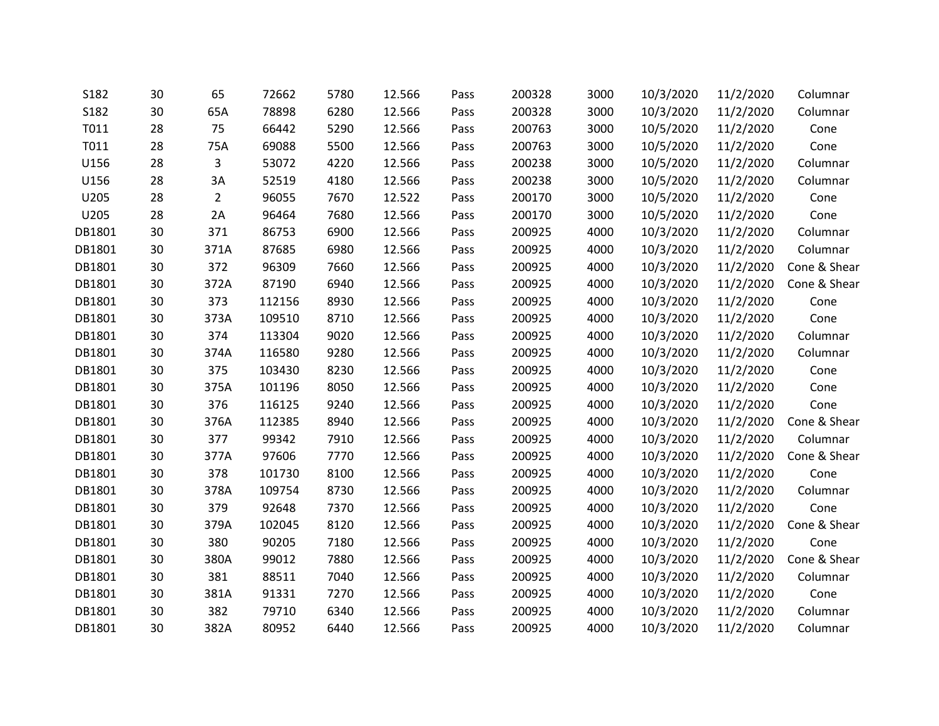| S182   | 30 | 65             | 72662  | 5780 | 12.566 | Pass | 200328 | 3000 | 10/3/2020 | 11/2/2020 | Columnar     |
|--------|----|----------------|--------|------|--------|------|--------|------|-----------|-----------|--------------|
| S182   | 30 | 65A            | 78898  | 6280 | 12.566 | Pass | 200328 | 3000 | 10/3/2020 | 11/2/2020 | Columnar     |
| T011   | 28 | 75             | 66442  | 5290 | 12.566 | Pass | 200763 | 3000 | 10/5/2020 | 11/2/2020 | Cone         |
| T011   | 28 | 75A            | 69088  | 5500 | 12.566 | Pass | 200763 | 3000 | 10/5/2020 | 11/2/2020 | Cone         |
| U156   | 28 | 3              | 53072  | 4220 | 12.566 | Pass | 200238 | 3000 | 10/5/2020 | 11/2/2020 | Columnar     |
| U156   | 28 | 3A             | 52519  | 4180 | 12.566 | Pass | 200238 | 3000 | 10/5/2020 | 11/2/2020 | Columnar     |
| U205   | 28 | $\overline{2}$ | 96055  | 7670 | 12.522 | Pass | 200170 | 3000 | 10/5/2020 | 11/2/2020 | Cone         |
| U205   | 28 | 2A             | 96464  | 7680 | 12.566 | Pass | 200170 | 3000 | 10/5/2020 | 11/2/2020 | Cone         |
| DB1801 | 30 | 371            | 86753  | 6900 | 12.566 | Pass | 200925 | 4000 | 10/3/2020 | 11/2/2020 | Columnar     |
| DB1801 | 30 | 371A           | 87685  | 6980 | 12.566 | Pass | 200925 | 4000 | 10/3/2020 | 11/2/2020 | Columnar     |
| DB1801 | 30 | 372            | 96309  | 7660 | 12.566 | Pass | 200925 | 4000 | 10/3/2020 | 11/2/2020 | Cone & Shear |
| DB1801 | 30 | 372A           | 87190  | 6940 | 12.566 | Pass | 200925 | 4000 | 10/3/2020 | 11/2/2020 | Cone & Shear |
| DB1801 | 30 | 373            | 112156 | 8930 | 12.566 | Pass | 200925 | 4000 | 10/3/2020 | 11/2/2020 | Cone         |
| DB1801 | 30 | 373A           | 109510 | 8710 | 12.566 | Pass | 200925 | 4000 | 10/3/2020 | 11/2/2020 | Cone         |
| DB1801 | 30 | 374            | 113304 | 9020 | 12.566 | Pass | 200925 | 4000 | 10/3/2020 | 11/2/2020 | Columnar     |
| DB1801 | 30 | 374A           | 116580 | 9280 | 12.566 | Pass | 200925 | 4000 | 10/3/2020 | 11/2/2020 | Columnar     |
| DB1801 | 30 | 375            | 103430 | 8230 | 12.566 | Pass | 200925 | 4000 | 10/3/2020 | 11/2/2020 | Cone         |
| DB1801 | 30 | 375A           | 101196 | 8050 | 12.566 | Pass | 200925 | 4000 | 10/3/2020 | 11/2/2020 | Cone         |
| DB1801 | 30 | 376            | 116125 | 9240 | 12.566 | Pass | 200925 | 4000 | 10/3/2020 | 11/2/2020 | Cone         |
| DB1801 | 30 | 376A           | 112385 | 8940 | 12.566 | Pass | 200925 | 4000 | 10/3/2020 | 11/2/2020 | Cone & Shear |
| DB1801 | 30 | 377            | 99342  | 7910 | 12.566 | Pass | 200925 | 4000 | 10/3/2020 | 11/2/2020 | Columnar     |
| DB1801 | 30 | 377A           | 97606  | 7770 | 12.566 | Pass | 200925 | 4000 | 10/3/2020 | 11/2/2020 | Cone & Shear |
| DB1801 | 30 | 378            | 101730 | 8100 | 12.566 | Pass | 200925 | 4000 | 10/3/2020 | 11/2/2020 | Cone         |
| DB1801 | 30 | 378A           | 109754 | 8730 | 12.566 | Pass | 200925 | 4000 | 10/3/2020 | 11/2/2020 | Columnar     |
| DB1801 | 30 | 379            | 92648  | 7370 | 12.566 | Pass | 200925 | 4000 | 10/3/2020 | 11/2/2020 | Cone         |
| DB1801 | 30 | 379A           | 102045 | 8120 | 12.566 | Pass | 200925 | 4000 | 10/3/2020 | 11/2/2020 | Cone & Shear |
| DB1801 | 30 | 380            | 90205  | 7180 | 12.566 | Pass | 200925 | 4000 | 10/3/2020 | 11/2/2020 | Cone         |
| DB1801 | 30 | 380A           | 99012  | 7880 | 12.566 | Pass | 200925 | 4000 | 10/3/2020 | 11/2/2020 | Cone & Shear |
| DB1801 | 30 | 381            | 88511  | 7040 | 12.566 | Pass | 200925 | 4000 | 10/3/2020 | 11/2/2020 | Columnar     |
| DB1801 | 30 | 381A           | 91331  | 7270 | 12.566 | Pass | 200925 | 4000 | 10/3/2020 | 11/2/2020 | Cone         |
| DB1801 | 30 | 382            | 79710  | 6340 | 12.566 | Pass | 200925 | 4000 | 10/3/2020 | 11/2/2020 | Columnar     |
| DB1801 | 30 | 382A           | 80952  | 6440 | 12.566 | Pass | 200925 | 4000 | 10/3/2020 | 11/2/2020 | Columnar     |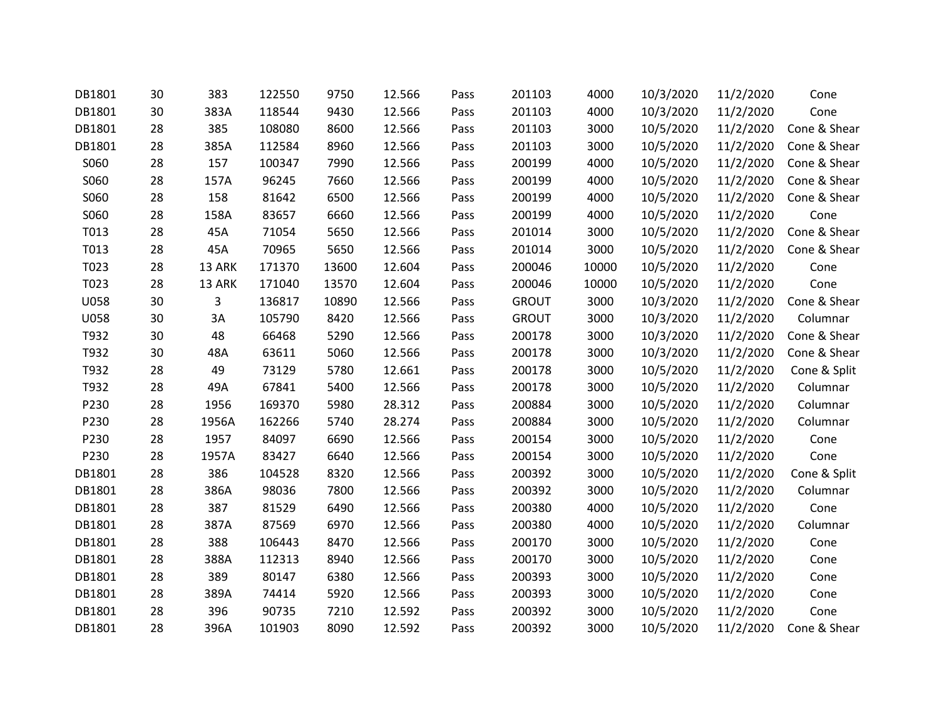| DB1801 | 30 | 383    | 122550 | 9750  | 12.566 | Pass | 201103       | 4000  | 10/3/2020 | 11/2/2020 | Cone         |
|--------|----|--------|--------|-------|--------|------|--------------|-------|-----------|-----------|--------------|
| DB1801 | 30 | 383A   | 118544 | 9430  | 12.566 | Pass | 201103       | 4000  | 10/3/2020 | 11/2/2020 | Cone         |
| DB1801 | 28 | 385    | 108080 | 8600  | 12.566 | Pass | 201103       | 3000  | 10/5/2020 | 11/2/2020 | Cone & Shear |
| DB1801 | 28 | 385A   | 112584 | 8960  | 12.566 | Pass | 201103       | 3000  | 10/5/2020 | 11/2/2020 | Cone & Shear |
| S060   | 28 | 157    | 100347 | 7990  | 12.566 | Pass | 200199       | 4000  | 10/5/2020 | 11/2/2020 | Cone & Shear |
| S060   | 28 | 157A   | 96245  | 7660  | 12.566 | Pass | 200199       | 4000  | 10/5/2020 | 11/2/2020 | Cone & Shear |
| S060   | 28 | 158    | 81642  | 6500  | 12.566 | Pass | 200199       | 4000  | 10/5/2020 | 11/2/2020 | Cone & Shear |
| S060   | 28 | 158A   | 83657  | 6660  | 12.566 | Pass | 200199       | 4000  | 10/5/2020 | 11/2/2020 | Cone         |
| T013   | 28 | 45A    | 71054  | 5650  | 12.566 | Pass | 201014       | 3000  | 10/5/2020 | 11/2/2020 | Cone & Shear |
| T013   | 28 | 45A    | 70965  | 5650  | 12.566 | Pass | 201014       | 3000  | 10/5/2020 | 11/2/2020 | Cone & Shear |
| T023   | 28 | 13 ARK | 171370 | 13600 | 12.604 | Pass | 200046       | 10000 | 10/5/2020 | 11/2/2020 | Cone         |
| T023   | 28 | 13 ARK | 171040 | 13570 | 12.604 | Pass | 200046       | 10000 | 10/5/2020 | 11/2/2020 | Cone         |
| U058   | 30 | 3      | 136817 | 10890 | 12.566 | Pass | <b>GROUT</b> | 3000  | 10/3/2020 | 11/2/2020 | Cone & Shear |
| U058   | 30 | 3A     | 105790 | 8420  | 12.566 | Pass | <b>GROUT</b> | 3000  | 10/3/2020 | 11/2/2020 | Columnar     |
| T932   | 30 | 48     | 66468  | 5290  | 12.566 | Pass | 200178       | 3000  | 10/3/2020 | 11/2/2020 | Cone & Shear |
| T932   | 30 | 48A    | 63611  | 5060  | 12.566 | Pass | 200178       | 3000  | 10/3/2020 | 11/2/2020 | Cone & Shear |
| T932   | 28 | 49     | 73129  | 5780  | 12.661 | Pass | 200178       | 3000  | 10/5/2020 | 11/2/2020 | Cone & Split |
| T932   | 28 | 49A    | 67841  | 5400  | 12.566 | Pass | 200178       | 3000  | 10/5/2020 | 11/2/2020 | Columnar     |
| P230   | 28 | 1956   | 169370 | 5980  | 28.312 | Pass | 200884       | 3000  | 10/5/2020 | 11/2/2020 | Columnar     |
| P230   | 28 | 1956A  | 162266 | 5740  | 28.274 | Pass | 200884       | 3000  | 10/5/2020 | 11/2/2020 | Columnar     |
| P230   | 28 | 1957   | 84097  | 6690  | 12.566 | Pass | 200154       | 3000  | 10/5/2020 | 11/2/2020 | Cone         |
| P230   | 28 | 1957A  | 83427  | 6640  | 12.566 | Pass | 200154       | 3000  | 10/5/2020 | 11/2/2020 | Cone         |
| DB1801 | 28 | 386    | 104528 | 8320  | 12.566 | Pass | 200392       | 3000  | 10/5/2020 | 11/2/2020 | Cone & Split |
| DB1801 | 28 | 386A   | 98036  | 7800  | 12.566 | Pass | 200392       | 3000  | 10/5/2020 | 11/2/2020 | Columnar     |
| DB1801 | 28 | 387    | 81529  | 6490  | 12.566 | Pass | 200380       | 4000  | 10/5/2020 | 11/2/2020 | Cone         |
| DB1801 | 28 | 387A   | 87569  | 6970  | 12.566 | Pass | 200380       | 4000  | 10/5/2020 | 11/2/2020 | Columnar     |
| DB1801 | 28 | 388    | 106443 | 8470  | 12.566 | Pass | 200170       | 3000  | 10/5/2020 | 11/2/2020 | Cone         |
| DB1801 | 28 | 388A   | 112313 | 8940  | 12.566 | Pass | 200170       | 3000  | 10/5/2020 | 11/2/2020 | Cone         |
| DB1801 | 28 | 389    | 80147  | 6380  | 12.566 | Pass | 200393       | 3000  | 10/5/2020 | 11/2/2020 | Cone         |
| DB1801 | 28 | 389A   | 74414  | 5920  | 12.566 | Pass | 200393       | 3000  | 10/5/2020 | 11/2/2020 | Cone         |
| DB1801 | 28 | 396    | 90735  | 7210  | 12.592 | Pass | 200392       | 3000  | 10/5/2020 | 11/2/2020 | Cone         |
| DB1801 | 28 | 396A   | 101903 | 8090  | 12.592 | Pass | 200392       | 3000  | 10/5/2020 | 11/2/2020 | Cone & Shear |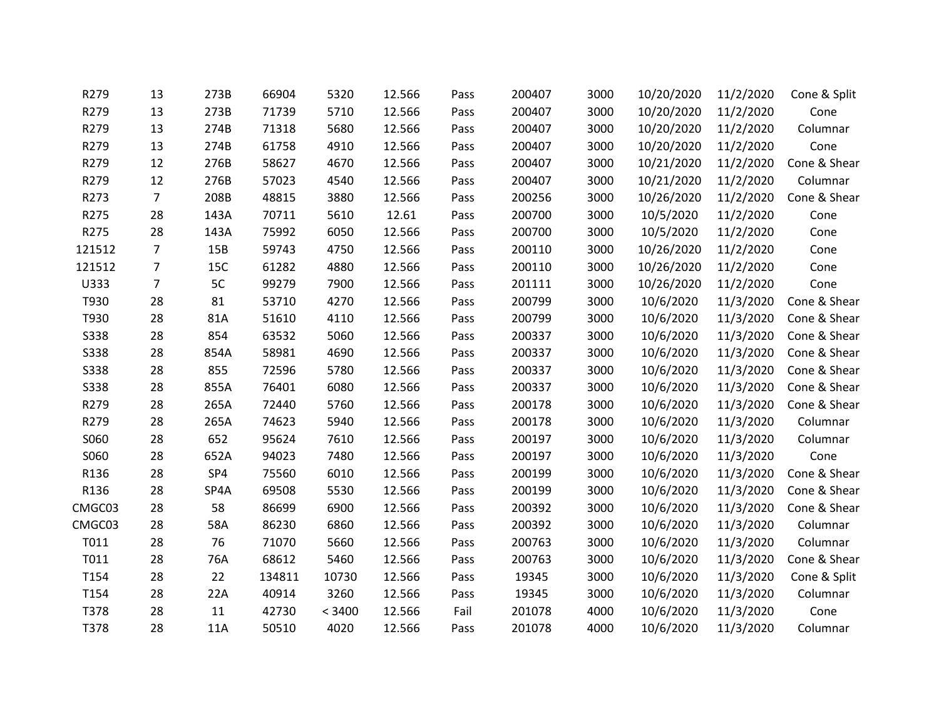| R279        | 13             | 273B | 66904  | 5320   | 12.566 | Pass | 200407 | 3000 | 10/20/2020 | 11/2/2020 | Cone & Split |
|-------------|----------------|------|--------|--------|--------|------|--------|------|------------|-----------|--------------|
| R279        | 13             | 273B | 71739  | 5710   | 12.566 | Pass | 200407 | 3000 | 10/20/2020 | 11/2/2020 | Cone         |
| R279        | 13             | 274B | 71318  | 5680   | 12.566 | Pass | 200407 | 3000 | 10/20/2020 | 11/2/2020 | Columnar     |
| R279        | 13             | 274B | 61758  | 4910   | 12.566 | Pass | 200407 | 3000 | 10/20/2020 | 11/2/2020 | Cone         |
| R279        | 12             | 276B | 58627  | 4670   | 12.566 | Pass | 200407 | 3000 | 10/21/2020 | 11/2/2020 | Cone & Shear |
| R279        | 12             | 276B | 57023  | 4540   | 12.566 | Pass | 200407 | 3000 | 10/21/2020 | 11/2/2020 | Columnar     |
| R273        | $\overline{7}$ | 208B | 48815  | 3880   | 12.566 | Pass | 200256 | 3000 | 10/26/2020 | 11/2/2020 | Cone & Shear |
| R275        | 28             | 143A | 70711  | 5610   | 12.61  | Pass | 200700 | 3000 | 10/5/2020  | 11/2/2020 | Cone         |
| R275        | 28             | 143A | 75992  | 6050   | 12.566 | Pass | 200700 | 3000 | 10/5/2020  | 11/2/2020 | Cone         |
| 121512      | $\overline{7}$ | 15B  | 59743  | 4750   | 12.566 | Pass | 200110 | 3000 | 10/26/2020 | 11/2/2020 | Cone         |
| 121512      | $\overline{7}$ | 15C  | 61282  | 4880   | 12.566 | Pass | 200110 | 3000 | 10/26/2020 | 11/2/2020 | Cone         |
| U333        | $\overline{7}$ | 5C   | 99279  | 7900   | 12.566 | Pass | 201111 | 3000 | 10/26/2020 | 11/2/2020 | Cone         |
| T930        | 28             | 81   | 53710  | 4270   | 12.566 | Pass | 200799 | 3000 | 10/6/2020  | 11/3/2020 | Cone & Shear |
| T930        | 28             | 81A  | 51610  | 4110   | 12.566 | Pass | 200799 | 3000 | 10/6/2020  | 11/3/2020 | Cone & Shear |
| <b>S338</b> | 28             | 854  | 63532  | 5060   | 12.566 | Pass | 200337 | 3000 | 10/6/2020  | 11/3/2020 | Cone & Shear |
| <b>S338</b> | 28             | 854A | 58981  | 4690   | 12.566 | Pass | 200337 | 3000 | 10/6/2020  | 11/3/2020 | Cone & Shear |
| <b>S338</b> | 28             | 855  | 72596  | 5780   | 12.566 | Pass | 200337 | 3000 | 10/6/2020  | 11/3/2020 | Cone & Shear |
| <b>S338</b> | 28             | 855A | 76401  | 6080   | 12.566 | Pass | 200337 | 3000 | 10/6/2020  | 11/3/2020 | Cone & Shear |
| R279        | 28             | 265A | 72440  | 5760   | 12.566 | Pass | 200178 | 3000 | 10/6/2020  | 11/3/2020 | Cone & Shear |
| R279        | 28             | 265A | 74623  | 5940   | 12.566 | Pass | 200178 | 3000 | 10/6/2020  | 11/3/2020 | Columnar     |
| S060        | 28             | 652  | 95624  | 7610   | 12.566 | Pass | 200197 | 3000 | 10/6/2020  | 11/3/2020 | Columnar     |
| S060        | 28             | 652A | 94023  | 7480   | 12.566 | Pass | 200197 | 3000 | 10/6/2020  | 11/3/2020 | Cone         |
| R136        | 28             | SP4  | 75560  | 6010   | 12.566 | Pass | 200199 | 3000 | 10/6/2020  | 11/3/2020 | Cone & Shear |
| R136        | 28             | SP4A | 69508  | 5530   | 12.566 | Pass | 200199 | 3000 | 10/6/2020  | 11/3/2020 | Cone & Shear |
| CMGC03      | 28             | 58   | 86699  | 6900   | 12.566 | Pass | 200392 | 3000 | 10/6/2020  | 11/3/2020 | Cone & Shear |
| CMGC03      | 28             | 58A  | 86230  | 6860   | 12.566 | Pass | 200392 | 3000 | 10/6/2020  | 11/3/2020 | Columnar     |
| T011        | 28             | 76   | 71070  | 5660   | 12.566 | Pass | 200763 | 3000 | 10/6/2020  | 11/3/2020 | Columnar     |
| T011        | 28             | 76A  | 68612  | 5460   | 12.566 | Pass | 200763 | 3000 | 10/6/2020  | 11/3/2020 | Cone & Shear |
| T154        | 28             | 22   | 134811 | 10730  | 12.566 | Pass | 19345  | 3000 | 10/6/2020  | 11/3/2020 | Cone & Split |
| T154        | 28             | 22A  | 40914  | 3260   | 12.566 | Pass | 19345  | 3000 | 10/6/2020  | 11/3/2020 | Columnar     |
| T378        | 28             | 11   | 42730  | < 3400 | 12.566 | Fail | 201078 | 4000 | 10/6/2020  | 11/3/2020 | Cone         |
| T378        | 28             | 11A  | 50510  | 4020   | 12.566 | Pass | 201078 | 4000 | 10/6/2020  | 11/3/2020 | Columnar     |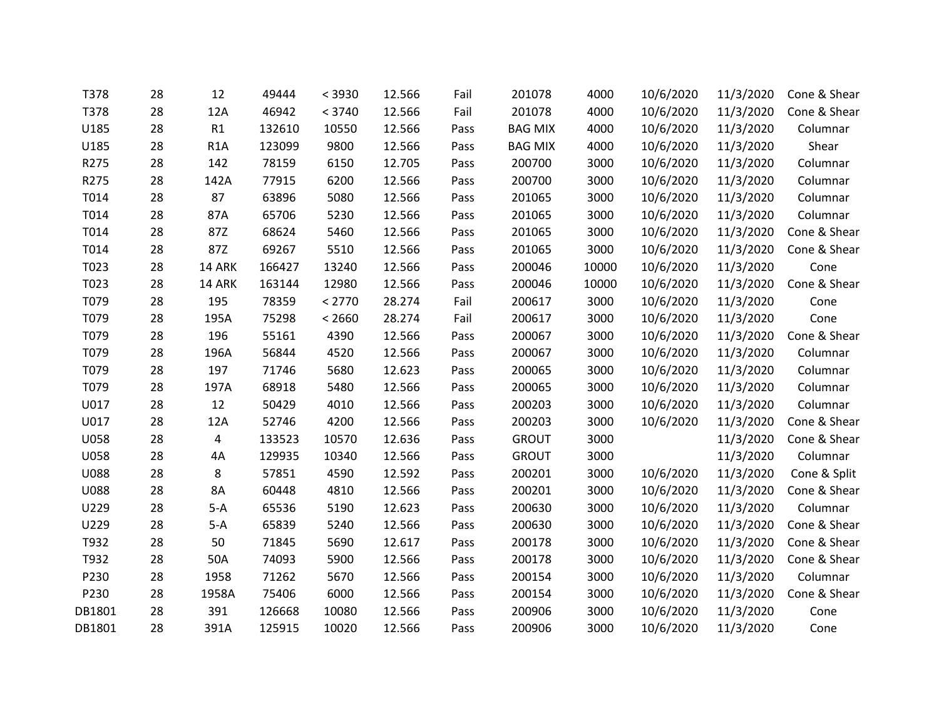| T378        | 28 | 12               | 49444  | < 3930 | 12.566 | Fail | 201078         | 4000  | 10/6/2020 | 11/3/2020 | Cone & Shear |
|-------------|----|------------------|--------|--------|--------|------|----------------|-------|-----------|-----------|--------------|
| T378        | 28 | 12A              | 46942  | < 3740 | 12.566 | Fail | 201078         | 4000  | 10/6/2020 | 11/3/2020 | Cone & Shear |
| U185        | 28 | R1               | 132610 | 10550  | 12.566 | Pass | <b>BAG MIX</b> | 4000  | 10/6/2020 | 11/3/2020 | Columnar     |
| U185        | 28 | R <sub>1</sub> A | 123099 | 9800   | 12.566 | Pass | <b>BAG MIX</b> | 4000  | 10/6/2020 | 11/3/2020 | Shear        |
| R275        | 28 | 142              | 78159  | 6150   | 12.705 | Pass | 200700         | 3000  | 10/6/2020 | 11/3/2020 | Columnar     |
| R275        | 28 | 142A             | 77915  | 6200   | 12.566 | Pass | 200700         | 3000  | 10/6/2020 | 11/3/2020 | Columnar     |
| T014        | 28 | 87               | 63896  | 5080   | 12.566 | Pass | 201065         | 3000  | 10/6/2020 | 11/3/2020 | Columnar     |
| T014        | 28 | 87A              | 65706  | 5230   | 12.566 | Pass | 201065         | 3000  | 10/6/2020 | 11/3/2020 | Columnar     |
| T014        | 28 | 87Z              | 68624  | 5460   | 12.566 | Pass | 201065         | 3000  | 10/6/2020 | 11/3/2020 | Cone & Shear |
| T014        | 28 | 87Z              | 69267  | 5510   | 12.566 | Pass | 201065         | 3000  | 10/6/2020 | 11/3/2020 | Cone & Shear |
| T023        | 28 | 14 ARK           | 166427 | 13240  | 12.566 | Pass | 200046         | 10000 | 10/6/2020 | 11/3/2020 | Cone         |
| T023        | 28 | 14 ARK           | 163144 | 12980  | 12.566 | Pass | 200046         | 10000 | 10/6/2020 | 11/3/2020 | Cone & Shear |
| T079        | 28 | 195              | 78359  | < 2770 | 28.274 | Fail | 200617         | 3000  | 10/6/2020 | 11/3/2020 | Cone         |
| T079        | 28 | 195A             | 75298  | < 2660 | 28.274 | Fail | 200617         | 3000  | 10/6/2020 | 11/3/2020 | Cone         |
| T079        | 28 | 196              | 55161  | 4390   | 12.566 | Pass | 200067         | 3000  | 10/6/2020 | 11/3/2020 | Cone & Shear |
| T079        | 28 | 196A             | 56844  | 4520   | 12.566 | Pass | 200067         | 3000  | 10/6/2020 | 11/3/2020 | Columnar     |
| T079        | 28 | 197              | 71746  | 5680   | 12.623 | Pass | 200065         | 3000  | 10/6/2020 | 11/3/2020 | Columnar     |
| T079        | 28 | 197A             | 68918  | 5480   | 12.566 | Pass | 200065         | 3000  | 10/6/2020 | 11/3/2020 | Columnar     |
| U017        | 28 | 12               | 50429  | 4010   | 12.566 | Pass | 200203         | 3000  | 10/6/2020 | 11/3/2020 | Columnar     |
| U017        | 28 | 12A              | 52746  | 4200   | 12.566 | Pass | 200203         | 3000  | 10/6/2020 | 11/3/2020 | Cone & Shear |
| <b>U058</b> | 28 | 4                | 133523 | 10570  | 12.636 | Pass | <b>GROUT</b>   | 3000  |           | 11/3/2020 | Cone & Shear |
| <b>U058</b> | 28 | 4A               | 129935 | 10340  | 12.566 | Pass | <b>GROUT</b>   | 3000  |           | 11/3/2020 | Columnar     |
| <b>U088</b> | 28 | 8                | 57851  | 4590   | 12.592 | Pass | 200201         | 3000  | 10/6/2020 | 11/3/2020 | Cone & Split |
| <b>U088</b> | 28 | <b>8A</b>        | 60448  | 4810   | 12.566 | Pass | 200201         | 3000  | 10/6/2020 | 11/3/2020 | Cone & Shear |
| U229        | 28 | $5-A$            | 65536  | 5190   | 12.623 | Pass | 200630         | 3000  | 10/6/2020 | 11/3/2020 | Columnar     |
| U229        | 28 | $5-A$            | 65839  | 5240   | 12.566 | Pass | 200630         | 3000  | 10/6/2020 | 11/3/2020 | Cone & Shear |
| T932        | 28 | 50               | 71845  | 5690   | 12.617 | Pass | 200178         | 3000  | 10/6/2020 | 11/3/2020 | Cone & Shear |
| T932        | 28 | 50A              | 74093  | 5900   | 12.566 | Pass | 200178         | 3000  | 10/6/2020 | 11/3/2020 | Cone & Shear |
| P230        | 28 | 1958             | 71262  | 5670   | 12.566 | Pass | 200154         | 3000  | 10/6/2020 | 11/3/2020 | Columnar     |
| P230        | 28 | 1958A            | 75406  | 6000   | 12.566 | Pass | 200154         | 3000  | 10/6/2020 | 11/3/2020 | Cone & Shear |
| DB1801      | 28 | 391              | 126668 | 10080  | 12.566 | Pass | 200906         | 3000  | 10/6/2020 | 11/3/2020 | Cone         |
| DB1801      | 28 | 391A             | 125915 | 10020  | 12.566 | Pass | 200906         | 3000  | 10/6/2020 | 11/3/2020 | Cone         |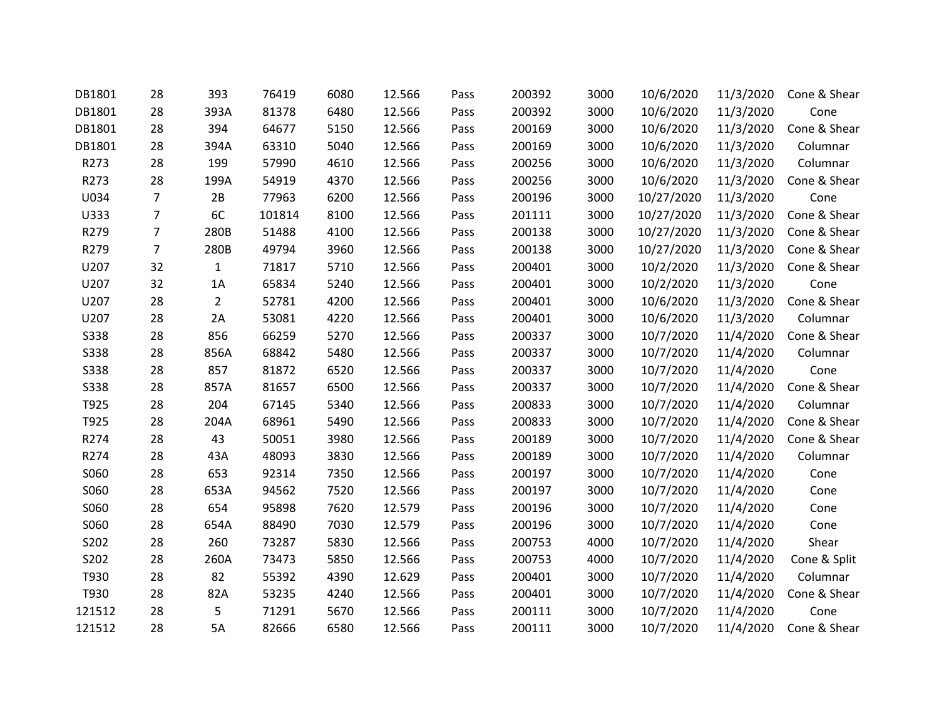| DB1801      | 28             | 393            | 76419  | 6080 | 12.566 | Pass | 200392 | 3000 | 10/6/2020  | 11/3/2020 | Cone & Shear |
|-------------|----------------|----------------|--------|------|--------|------|--------|------|------------|-----------|--------------|
| DB1801      | 28             | 393A           | 81378  | 6480 | 12.566 | Pass | 200392 | 3000 | 10/6/2020  | 11/3/2020 | Cone         |
| DB1801      | 28             | 394            | 64677  | 5150 | 12.566 | Pass | 200169 | 3000 | 10/6/2020  | 11/3/2020 | Cone & Shear |
| DB1801      | 28             | 394A           | 63310  | 5040 | 12.566 | Pass | 200169 | 3000 | 10/6/2020  | 11/3/2020 | Columnar     |
| R273        | 28             | 199            | 57990  | 4610 | 12.566 | Pass | 200256 | 3000 | 10/6/2020  | 11/3/2020 | Columnar     |
| R273        | 28             | 199A           | 54919  | 4370 | 12.566 | Pass | 200256 | 3000 | 10/6/2020  | 11/3/2020 | Cone & Shear |
| U034        | $\overline{7}$ | 2B             | 77963  | 6200 | 12.566 | Pass | 200196 | 3000 | 10/27/2020 | 11/3/2020 | Cone         |
| U333        | $\overline{7}$ | 6C             | 101814 | 8100 | 12.566 | Pass | 201111 | 3000 | 10/27/2020 | 11/3/2020 | Cone & Shear |
| R279        | $\overline{7}$ | 280B           | 51488  | 4100 | 12.566 | Pass | 200138 | 3000 | 10/27/2020 | 11/3/2020 | Cone & Shear |
| R279        | $\overline{7}$ | 280B           | 49794  | 3960 | 12.566 | Pass | 200138 | 3000 | 10/27/2020 | 11/3/2020 | Cone & Shear |
| U207        | 32             | $\mathbf{1}$   | 71817  | 5710 | 12.566 | Pass | 200401 | 3000 | 10/2/2020  | 11/3/2020 | Cone & Shear |
| U207        | 32             | 1A             | 65834  | 5240 | 12.566 | Pass | 200401 | 3000 | 10/2/2020  | 11/3/2020 | Cone         |
| U207        | 28             | $\overline{2}$ | 52781  | 4200 | 12.566 | Pass | 200401 | 3000 | 10/6/2020  | 11/3/2020 | Cone & Shear |
| U207        | 28             | 2A             | 53081  | 4220 | 12.566 | Pass | 200401 | 3000 | 10/6/2020  | 11/3/2020 | Columnar     |
| <b>S338</b> | 28             | 856            | 66259  | 5270 | 12.566 | Pass | 200337 | 3000 | 10/7/2020  | 11/4/2020 | Cone & Shear |
| <b>S338</b> | 28             | 856A           | 68842  | 5480 | 12.566 | Pass | 200337 | 3000 | 10/7/2020  | 11/4/2020 | Columnar     |
| <b>S338</b> | 28             | 857            | 81872  | 6520 | 12.566 | Pass | 200337 | 3000 | 10/7/2020  | 11/4/2020 | Cone         |
| <b>S338</b> | 28             | 857A           | 81657  | 6500 | 12.566 | Pass | 200337 | 3000 | 10/7/2020  | 11/4/2020 | Cone & Shear |
| T925        | 28             | 204            | 67145  | 5340 | 12.566 | Pass | 200833 | 3000 | 10/7/2020  | 11/4/2020 | Columnar     |
| T925        | 28             | 204A           | 68961  | 5490 | 12.566 | Pass | 200833 | 3000 | 10/7/2020  | 11/4/2020 | Cone & Shear |
| R274        | 28             | 43             | 50051  | 3980 | 12.566 | Pass | 200189 | 3000 | 10/7/2020  | 11/4/2020 | Cone & Shear |
| R274        | 28             | 43A            | 48093  | 3830 | 12.566 | Pass | 200189 | 3000 | 10/7/2020  | 11/4/2020 | Columnar     |
| S060        | 28             | 653            | 92314  | 7350 | 12.566 | Pass | 200197 | 3000 | 10/7/2020  | 11/4/2020 | Cone         |
| S060        | 28             | 653A           | 94562  | 7520 | 12.566 | Pass | 200197 | 3000 | 10/7/2020  | 11/4/2020 | Cone         |
| S060        | 28             | 654            | 95898  | 7620 | 12.579 | Pass | 200196 | 3000 | 10/7/2020  | 11/4/2020 | Cone         |
| S060        | 28             | 654A           | 88490  | 7030 | 12.579 | Pass | 200196 | 3000 | 10/7/2020  | 11/4/2020 | Cone         |
| S202        | 28             | 260            | 73287  | 5830 | 12.566 | Pass | 200753 | 4000 | 10/7/2020  | 11/4/2020 | Shear        |
| S202        | 28             | 260A           | 73473  | 5850 | 12.566 | Pass | 200753 | 4000 | 10/7/2020  | 11/4/2020 | Cone & Split |
| T930        | 28             | 82             | 55392  | 4390 | 12.629 | Pass | 200401 | 3000 | 10/7/2020  | 11/4/2020 | Columnar     |
| T930        | 28             | 82A            | 53235  | 4240 | 12.566 | Pass | 200401 | 3000 | 10/7/2020  | 11/4/2020 | Cone & Shear |
| 121512      | 28             | 5              | 71291  | 5670 | 12.566 | Pass | 200111 | 3000 | 10/7/2020  | 11/4/2020 | Cone         |
| 121512      | 28             | 5A             | 82666  | 6580 | 12.566 | Pass | 200111 | 3000 | 10/7/2020  | 11/4/2020 | Cone & Shear |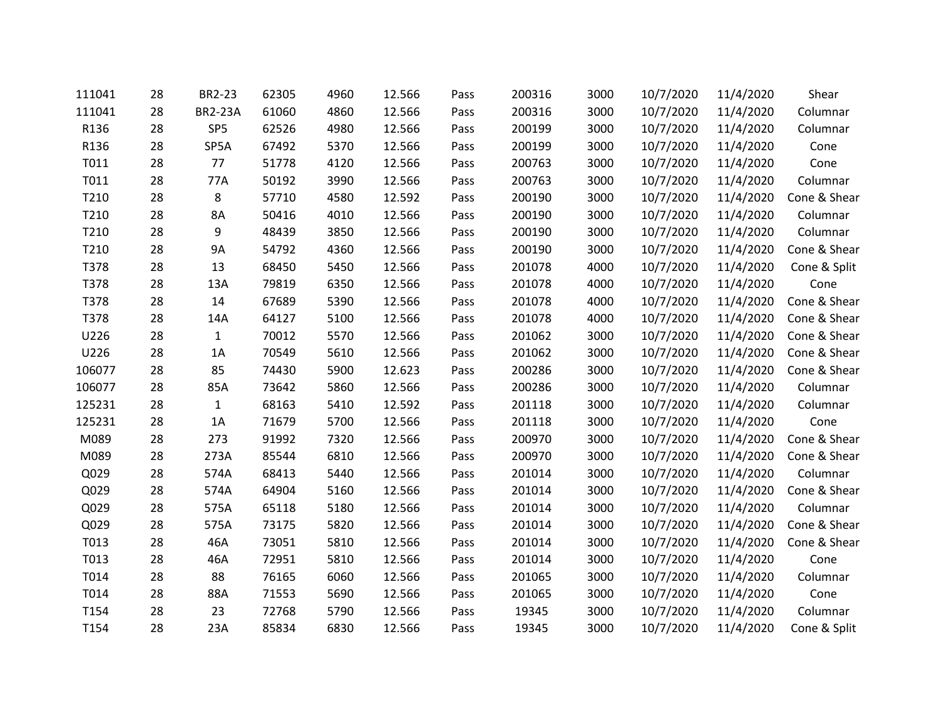| 111041 | 28 | BR2-23          | 62305 | 4960 | 12.566 | Pass | 200316 | 3000 | 10/7/2020 | 11/4/2020 | Shear        |
|--------|----|-----------------|-------|------|--------|------|--------|------|-----------|-----------|--------------|
| 111041 | 28 | <b>BR2-23A</b>  | 61060 | 4860 | 12.566 | Pass | 200316 | 3000 | 10/7/2020 | 11/4/2020 | Columnar     |
| R136   | 28 | SP <sub>5</sub> | 62526 | 4980 | 12.566 | Pass | 200199 | 3000 | 10/7/2020 | 11/4/2020 | Columnar     |
| R136   | 28 | SP5A            | 67492 | 5370 | 12.566 | Pass | 200199 | 3000 | 10/7/2020 | 11/4/2020 | Cone         |
| T011   | 28 | 77              | 51778 | 4120 | 12.566 | Pass | 200763 | 3000 | 10/7/2020 | 11/4/2020 | Cone         |
| T011   | 28 | 77A             | 50192 | 3990 | 12.566 | Pass | 200763 | 3000 | 10/7/2020 | 11/4/2020 | Columnar     |
| T210   | 28 | 8               | 57710 | 4580 | 12.592 | Pass | 200190 | 3000 | 10/7/2020 | 11/4/2020 | Cone & Shear |
| T210   | 28 | 8A              | 50416 | 4010 | 12.566 | Pass | 200190 | 3000 | 10/7/2020 | 11/4/2020 | Columnar     |
| T210   | 28 | 9               | 48439 | 3850 | 12.566 | Pass | 200190 | 3000 | 10/7/2020 | 11/4/2020 | Columnar     |
| T210   | 28 | <b>9A</b>       | 54792 | 4360 | 12.566 | Pass | 200190 | 3000 | 10/7/2020 | 11/4/2020 | Cone & Shear |
| T378   | 28 | 13              | 68450 | 5450 | 12.566 | Pass | 201078 | 4000 | 10/7/2020 | 11/4/2020 | Cone & Split |
| T378   | 28 | 13A             | 79819 | 6350 | 12.566 | Pass | 201078 | 4000 | 10/7/2020 | 11/4/2020 | Cone         |
| T378   | 28 | 14              | 67689 | 5390 | 12.566 | Pass | 201078 | 4000 | 10/7/2020 | 11/4/2020 | Cone & Shear |
| T378   | 28 | 14A             | 64127 | 5100 | 12.566 | Pass | 201078 | 4000 | 10/7/2020 | 11/4/2020 | Cone & Shear |
| U226   | 28 | $\mathbf{1}$    | 70012 | 5570 | 12.566 | Pass | 201062 | 3000 | 10/7/2020 | 11/4/2020 | Cone & Shear |
| U226   | 28 | 1A              | 70549 | 5610 | 12.566 | Pass | 201062 | 3000 | 10/7/2020 | 11/4/2020 | Cone & Shear |
| 106077 | 28 | 85              | 74430 | 5900 | 12.623 | Pass | 200286 | 3000 | 10/7/2020 | 11/4/2020 | Cone & Shear |
| 106077 | 28 | 85A             | 73642 | 5860 | 12.566 | Pass | 200286 | 3000 | 10/7/2020 | 11/4/2020 | Columnar     |
| 125231 | 28 | $\mathbf{1}$    | 68163 | 5410 | 12.592 | Pass | 201118 | 3000 | 10/7/2020 | 11/4/2020 | Columnar     |
| 125231 | 28 | 1A              | 71679 | 5700 | 12.566 | Pass | 201118 | 3000 | 10/7/2020 | 11/4/2020 | Cone         |
| M089   | 28 | 273             | 91992 | 7320 | 12.566 | Pass | 200970 | 3000 | 10/7/2020 | 11/4/2020 | Cone & Shear |
| M089   | 28 | 273A            | 85544 | 6810 | 12.566 | Pass | 200970 | 3000 | 10/7/2020 | 11/4/2020 | Cone & Shear |
| Q029   | 28 | 574A            | 68413 | 5440 | 12.566 | Pass | 201014 | 3000 | 10/7/2020 | 11/4/2020 | Columnar     |
| Q029   | 28 | 574A            | 64904 | 5160 | 12.566 | Pass | 201014 | 3000 | 10/7/2020 | 11/4/2020 | Cone & Shear |
| Q029   | 28 | 575A            | 65118 | 5180 | 12.566 | Pass | 201014 | 3000 | 10/7/2020 | 11/4/2020 | Columnar     |
| Q029   | 28 | 575A            | 73175 | 5820 | 12.566 | Pass | 201014 | 3000 | 10/7/2020 | 11/4/2020 | Cone & Shear |
| T013   | 28 | 46A             | 73051 | 5810 | 12.566 | Pass | 201014 | 3000 | 10/7/2020 | 11/4/2020 | Cone & Shear |
| T013   | 28 | 46A             | 72951 | 5810 | 12.566 | Pass | 201014 | 3000 | 10/7/2020 | 11/4/2020 | Cone         |
| T014   | 28 | 88              | 76165 | 6060 | 12.566 | Pass | 201065 | 3000 | 10/7/2020 | 11/4/2020 | Columnar     |
| T014   | 28 | 88A             | 71553 | 5690 | 12.566 | Pass | 201065 | 3000 | 10/7/2020 | 11/4/2020 | Cone         |
| T154   | 28 | 23              | 72768 | 5790 | 12.566 | Pass | 19345  | 3000 | 10/7/2020 | 11/4/2020 | Columnar     |
| T154   | 28 | 23A             | 85834 | 6830 | 12.566 | Pass | 19345  | 3000 | 10/7/2020 | 11/4/2020 | Cone & Split |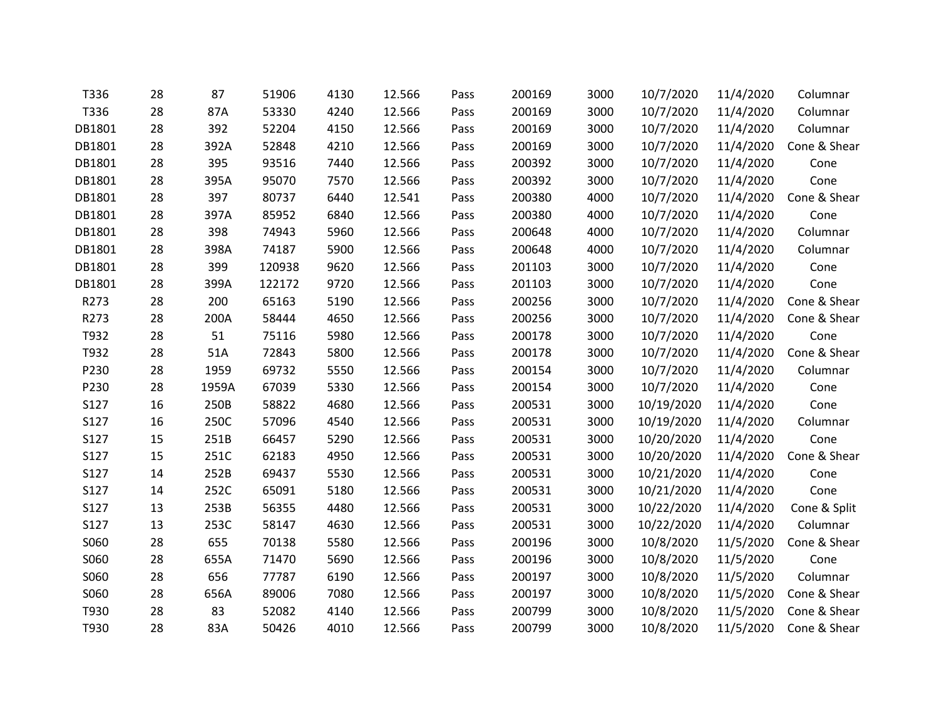| T336   | 28 | 87    | 51906  | 4130 | 12.566 | Pass | 200169 | 3000 | 10/7/2020  | 11/4/2020 | Columnar     |
|--------|----|-------|--------|------|--------|------|--------|------|------------|-----------|--------------|
| T336   | 28 | 87A   | 53330  | 4240 | 12.566 | Pass | 200169 | 3000 | 10/7/2020  | 11/4/2020 | Columnar     |
| DB1801 | 28 | 392   | 52204  | 4150 | 12.566 | Pass | 200169 | 3000 | 10/7/2020  | 11/4/2020 | Columnar     |
| DB1801 | 28 | 392A  | 52848  | 4210 | 12.566 | Pass | 200169 | 3000 | 10/7/2020  | 11/4/2020 | Cone & Shear |
| DB1801 | 28 | 395   | 93516  | 7440 | 12.566 | Pass | 200392 | 3000 | 10/7/2020  | 11/4/2020 | Cone         |
| DB1801 | 28 | 395A  | 95070  | 7570 | 12.566 | Pass | 200392 | 3000 | 10/7/2020  | 11/4/2020 | Cone         |
| DB1801 | 28 | 397   | 80737  | 6440 | 12.541 | Pass | 200380 | 4000 | 10/7/2020  | 11/4/2020 | Cone & Shear |
| DB1801 | 28 | 397A  | 85952  | 6840 | 12.566 | Pass | 200380 | 4000 | 10/7/2020  | 11/4/2020 | Cone         |
| DB1801 | 28 | 398   | 74943  | 5960 | 12.566 | Pass | 200648 | 4000 | 10/7/2020  | 11/4/2020 | Columnar     |
| DB1801 | 28 | 398A  | 74187  | 5900 | 12.566 | Pass | 200648 | 4000 | 10/7/2020  | 11/4/2020 | Columnar     |
| DB1801 | 28 | 399   | 120938 | 9620 | 12.566 | Pass | 201103 | 3000 | 10/7/2020  | 11/4/2020 | Cone         |
| DB1801 | 28 | 399A  | 122172 | 9720 | 12.566 | Pass | 201103 | 3000 | 10/7/2020  | 11/4/2020 | Cone         |
| R273   | 28 | 200   | 65163  | 5190 | 12.566 | Pass | 200256 | 3000 | 10/7/2020  | 11/4/2020 | Cone & Shear |
| R273   | 28 | 200A  | 58444  | 4650 | 12.566 | Pass | 200256 | 3000 | 10/7/2020  | 11/4/2020 | Cone & Shear |
| T932   | 28 | 51    | 75116  | 5980 | 12.566 | Pass | 200178 | 3000 | 10/7/2020  | 11/4/2020 | Cone         |
| T932   | 28 | 51A   | 72843  | 5800 | 12.566 | Pass | 200178 | 3000 | 10/7/2020  | 11/4/2020 | Cone & Shear |
| P230   | 28 | 1959  | 69732  | 5550 | 12.566 | Pass | 200154 | 3000 | 10/7/2020  | 11/4/2020 | Columnar     |
| P230   | 28 | 1959A | 67039  | 5330 | 12.566 | Pass | 200154 | 3000 | 10/7/2020  | 11/4/2020 | Cone         |
| S127   | 16 | 250B  | 58822  | 4680 | 12.566 | Pass | 200531 | 3000 | 10/19/2020 | 11/4/2020 | Cone         |
| S127   | 16 | 250C  | 57096  | 4540 | 12.566 | Pass | 200531 | 3000 | 10/19/2020 | 11/4/2020 | Columnar     |
| S127   | 15 | 251B  | 66457  | 5290 | 12.566 | Pass | 200531 | 3000 | 10/20/2020 | 11/4/2020 | Cone         |
| S127   | 15 | 251C  | 62183  | 4950 | 12.566 | Pass | 200531 | 3000 | 10/20/2020 | 11/4/2020 | Cone & Shear |
| S127   | 14 | 252B  | 69437  | 5530 | 12.566 | Pass | 200531 | 3000 | 10/21/2020 | 11/4/2020 | Cone         |
| S127   | 14 | 252C  | 65091  | 5180 | 12.566 | Pass | 200531 | 3000 | 10/21/2020 | 11/4/2020 | Cone         |
| S127   | 13 | 253B  | 56355  | 4480 | 12.566 | Pass | 200531 | 3000 | 10/22/2020 | 11/4/2020 | Cone & Split |
| S127   | 13 | 253C  | 58147  | 4630 | 12.566 | Pass | 200531 | 3000 | 10/22/2020 | 11/4/2020 | Columnar     |
| S060   | 28 | 655   | 70138  | 5580 | 12.566 | Pass | 200196 | 3000 | 10/8/2020  | 11/5/2020 | Cone & Shear |
| S060   | 28 | 655A  | 71470  | 5690 | 12.566 | Pass | 200196 | 3000 | 10/8/2020  | 11/5/2020 | Cone         |
| S060   | 28 | 656   | 77787  | 6190 | 12.566 | Pass | 200197 | 3000 | 10/8/2020  | 11/5/2020 | Columnar     |
| S060   | 28 | 656A  | 89006  | 7080 | 12.566 | Pass | 200197 | 3000 | 10/8/2020  | 11/5/2020 | Cone & Shear |
| T930   | 28 | 83    | 52082  | 4140 | 12.566 | Pass | 200799 | 3000 | 10/8/2020  | 11/5/2020 | Cone & Shear |
| T930   | 28 | 83A   | 50426  | 4010 | 12.566 | Pass | 200799 | 3000 | 10/8/2020  | 11/5/2020 | Cone & Shear |
|        |    |       |        |      |        |      |        |      |            |           |              |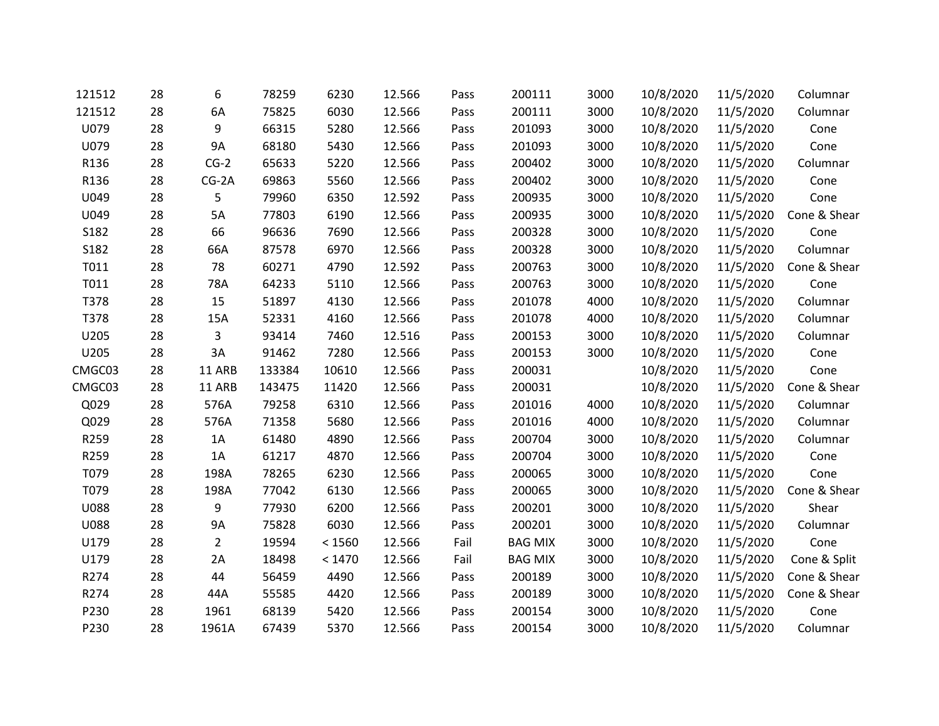| 121512      | 28 | 6              | 78259  | 6230   | 12.566 | Pass | 200111         | 3000 | 10/8/2020 | 11/5/2020 | Columnar     |
|-------------|----|----------------|--------|--------|--------|------|----------------|------|-----------|-----------|--------------|
| 121512      | 28 | 6A             | 75825  | 6030   | 12.566 | Pass | 200111         | 3000 | 10/8/2020 | 11/5/2020 | Columnar     |
| U079        | 28 | 9              | 66315  | 5280   | 12.566 | Pass | 201093         | 3000 | 10/8/2020 | 11/5/2020 | Cone         |
| U079        | 28 | <b>9A</b>      | 68180  | 5430   | 12.566 | Pass | 201093         | 3000 | 10/8/2020 | 11/5/2020 | Cone         |
| R136        | 28 | $CG-2$         | 65633  | 5220   | 12.566 | Pass | 200402         | 3000 | 10/8/2020 | 11/5/2020 | Columnar     |
| R136        | 28 | $CG-2A$        | 69863  | 5560   | 12.566 | Pass | 200402         | 3000 | 10/8/2020 | 11/5/2020 | Cone         |
| U049        | 28 | 5              | 79960  | 6350   | 12.592 | Pass | 200935         | 3000 | 10/8/2020 | 11/5/2020 | Cone         |
| U049        | 28 | 5A             | 77803  | 6190   | 12.566 | Pass | 200935         | 3000 | 10/8/2020 | 11/5/2020 | Cone & Shear |
| S182        | 28 | 66             | 96636  | 7690   | 12.566 | Pass | 200328         | 3000 | 10/8/2020 | 11/5/2020 | Cone         |
| S182        | 28 | 66A            | 87578  | 6970   | 12.566 | Pass | 200328         | 3000 | 10/8/2020 | 11/5/2020 | Columnar     |
| T011        | 28 | 78             | 60271  | 4790   | 12.592 | Pass | 200763         | 3000 | 10/8/2020 | 11/5/2020 | Cone & Shear |
| T011        | 28 | 78A            | 64233  | 5110   | 12.566 | Pass | 200763         | 3000 | 10/8/2020 | 11/5/2020 | Cone         |
| T378        | 28 | 15             | 51897  | 4130   | 12.566 | Pass | 201078         | 4000 | 10/8/2020 | 11/5/2020 | Columnar     |
| T378        | 28 | 15A            | 52331  | 4160   | 12.566 | Pass | 201078         | 4000 | 10/8/2020 | 11/5/2020 | Columnar     |
| U205        | 28 | 3              | 93414  | 7460   | 12.516 | Pass | 200153         | 3000 | 10/8/2020 | 11/5/2020 | Columnar     |
| U205        | 28 | 3A             | 91462  | 7280   | 12.566 | Pass | 200153         | 3000 | 10/8/2020 | 11/5/2020 | Cone         |
| CMGC03      | 28 | 11 ARB         | 133384 | 10610  | 12.566 | Pass | 200031         |      | 10/8/2020 | 11/5/2020 | Cone         |
| CMGC03      | 28 | 11 ARB         | 143475 | 11420  | 12.566 | Pass | 200031         |      | 10/8/2020 | 11/5/2020 | Cone & Shear |
| Q029        | 28 | 576A           | 79258  | 6310   | 12.566 | Pass | 201016         | 4000 | 10/8/2020 | 11/5/2020 | Columnar     |
| Q029        | 28 | 576A           | 71358  | 5680   | 12.566 | Pass | 201016         | 4000 | 10/8/2020 | 11/5/2020 | Columnar     |
| R259        | 28 | 1A             | 61480  | 4890   | 12.566 | Pass | 200704         | 3000 | 10/8/2020 | 11/5/2020 | Columnar     |
| R259        | 28 | 1A             | 61217  | 4870   | 12.566 | Pass | 200704         | 3000 | 10/8/2020 | 11/5/2020 | Cone         |
| T079        | 28 | 198A           | 78265  | 6230   | 12.566 | Pass | 200065         | 3000 | 10/8/2020 | 11/5/2020 | Cone         |
| T079        | 28 | 198A           | 77042  | 6130   | 12.566 | Pass | 200065         | 3000 | 10/8/2020 | 11/5/2020 | Cone & Shear |
| <b>U088</b> | 28 | 9              | 77930  | 6200   | 12.566 | Pass | 200201         | 3000 | 10/8/2020 | 11/5/2020 | Shear        |
| <b>U088</b> | 28 | 9A             | 75828  | 6030   | 12.566 | Pass | 200201         | 3000 | 10/8/2020 | 11/5/2020 | Columnar     |
| U179        | 28 | $\overline{2}$ | 19594  | < 1560 | 12.566 | Fail | <b>BAG MIX</b> | 3000 | 10/8/2020 | 11/5/2020 | Cone         |
| U179        | 28 | 2A             | 18498  | < 1470 | 12.566 | Fail | <b>BAG MIX</b> | 3000 | 10/8/2020 | 11/5/2020 | Cone & Split |
| R274        | 28 | 44             | 56459  | 4490   | 12.566 | Pass | 200189         | 3000 | 10/8/2020 | 11/5/2020 | Cone & Shear |
| R274        | 28 | 44A            | 55585  | 4420   | 12.566 | Pass | 200189         | 3000 | 10/8/2020 | 11/5/2020 | Cone & Shear |
| P230        | 28 | 1961           | 68139  | 5420   | 12.566 | Pass | 200154         | 3000 | 10/8/2020 | 11/5/2020 | Cone         |
| P230        | 28 | 1961A          | 67439  | 5370   | 12.566 | Pass | 200154         | 3000 | 10/8/2020 | 11/5/2020 | Columnar     |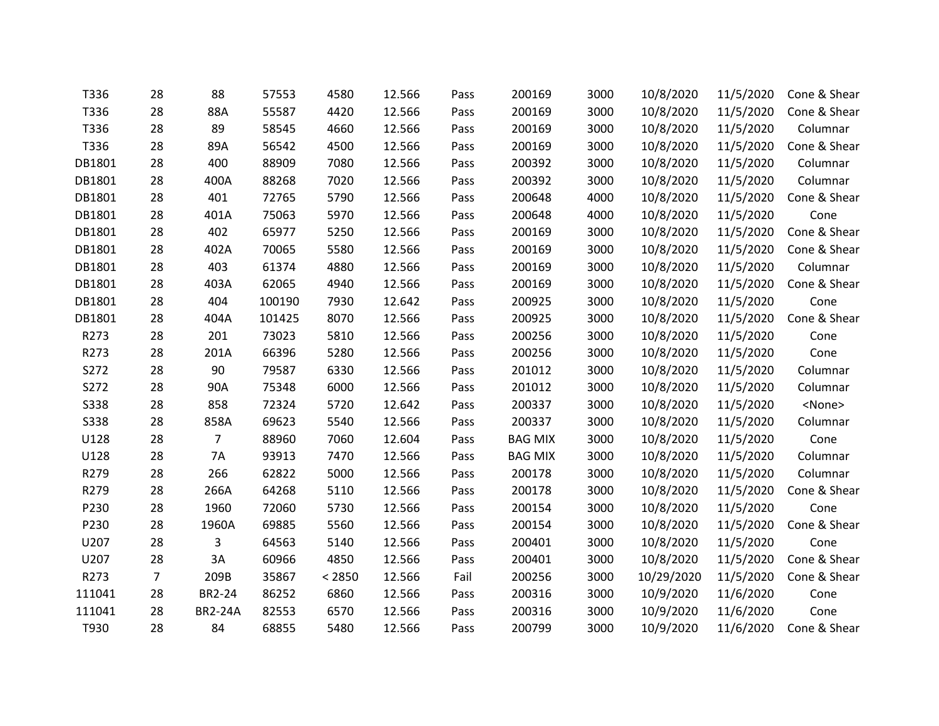| T336        | 28             | 88             | 57553  | 4580   | 12.566 | Pass | 200169         | 3000 | 10/8/2020  | 11/5/2020 | Cone & Shear  |
|-------------|----------------|----------------|--------|--------|--------|------|----------------|------|------------|-----------|---------------|
| T336        | 28             | 88A            | 55587  | 4420   | 12.566 | Pass | 200169         | 3000 | 10/8/2020  | 11/5/2020 | Cone & Shear  |
| T336        | 28             | 89             | 58545  | 4660   | 12.566 | Pass | 200169         | 3000 | 10/8/2020  | 11/5/2020 | Columnar      |
| T336        | 28             | 89A            | 56542  | 4500   | 12.566 | Pass | 200169         | 3000 | 10/8/2020  | 11/5/2020 | Cone & Shear  |
| DB1801      | 28             | 400            | 88909  | 7080   | 12.566 | Pass | 200392         | 3000 | 10/8/2020  | 11/5/2020 | Columnar      |
| DB1801      | 28             | 400A           | 88268  | 7020   | 12.566 | Pass | 200392         | 3000 | 10/8/2020  | 11/5/2020 | Columnar      |
| DB1801      | 28             | 401            | 72765  | 5790   | 12.566 | Pass | 200648         | 4000 | 10/8/2020  | 11/5/2020 | Cone & Shear  |
| DB1801      | 28             | 401A           | 75063  | 5970   | 12.566 | Pass | 200648         | 4000 | 10/8/2020  | 11/5/2020 | Cone          |
| DB1801      | 28             | 402            | 65977  | 5250   | 12.566 | Pass | 200169         | 3000 | 10/8/2020  | 11/5/2020 | Cone & Shear  |
| DB1801      | 28             | 402A           | 70065  | 5580   | 12.566 | Pass | 200169         | 3000 | 10/8/2020  | 11/5/2020 | Cone & Shear  |
| DB1801      | 28             | 403            | 61374  | 4880   | 12.566 | Pass | 200169         | 3000 | 10/8/2020  | 11/5/2020 | Columnar      |
| DB1801      | 28             | 403A           | 62065  | 4940   | 12.566 | Pass | 200169         | 3000 | 10/8/2020  | 11/5/2020 | Cone & Shear  |
| DB1801      | 28             | 404            | 100190 | 7930   | 12.642 | Pass | 200925         | 3000 | 10/8/2020  | 11/5/2020 | Cone          |
| DB1801      | 28             | 404A           | 101425 | 8070   | 12.566 | Pass | 200925         | 3000 | 10/8/2020  | 11/5/2020 | Cone & Shear  |
| R273        | 28             | 201            | 73023  | 5810   | 12.566 | Pass | 200256         | 3000 | 10/8/2020  | 11/5/2020 | Cone          |
| R273        | 28             | 201A           | 66396  | 5280   | 12.566 | Pass | 200256         | 3000 | 10/8/2020  | 11/5/2020 | Cone          |
| S272        | 28             | 90             | 79587  | 6330   | 12.566 | Pass | 201012         | 3000 | 10/8/2020  | 11/5/2020 | Columnar      |
| S272        | 28             | 90A            | 75348  | 6000   | 12.566 | Pass | 201012         | 3000 | 10/8/2020  | 11/5/2020 | Columnar      |
| <b>S338</b> | 28             | 858            | 72324  | 5720   | 12.642 | Pass | 200337         | 3000 | 10/8/2020  | 11/5/2020 | <none></none> |
| <b>S338</b> | 28             | 858A           | 69623  | 5540   | 12.566 | Pass | 200337         | 3000 | 10/8/2020  | 11/5/2020 | Columnar      |
| U128        | 28             | $\overline{7}$ | 88960  | 7060   | 12.604 | Pass | <b>BAG MIX</b> | 3000 | 10/8/2020  | 11/5/2020 | Cone          |
| U128        | 28             | 7A             | 93913  | 7470   | 12.566 | Pass | <b>BAG MIX</b> | 3000 | 10/8/2020  | 11/5/2020 | Columnar      |
| R279        | 28             | 266            | 62822  | 5000   | 12.566 | Pass | 200178         | 3000 | 10/8/2020  | 11/5/2020 | Columnar      |
| R279        | 28             | 266A           | 64268  | 5110   | 12.566 | Pass | 200178         | 3000 | 10/8/2020  | 11/5/2020 | Cone & Shear  |
| P230        | 28             | 1960           | 72060  | 5730   | 12.566 | Pass | 200154         | 3000 | 10/8/2020  | 11/5/2020 | Cone          |
| P230        | 28             | 1960A          | 69885  | 5560   | 12.566 | Pass | 200154         | 3000 | 10/8/2020  | 11/5/2020 | Cone & Shear  |
| U207        | 28             | 3              | 64563  | 5140   | 12.566 | Pass | 200401         | 3000 | 10/8/2020  | 11/5/2020 | Cone          |
| U207        | 28             | 3A             | 60966  | 4850   | 12.566 | Pass | 200401         | 3000 | 10/8/2020  | 11/5/2020 | Cone & Shear  |
| R273        | $\overline{7}$ | 209B           | 35867  | < 2850 | 12.566 | Fail | 200256         | 3000 | 10/29/2020 | 11/5/2020 | Cone & Shear  |
| 111041      | 28             | BR2-24         | 86252  | 6860   | 12.566 | Pass | 200316         | 3000 | 10/9/2020  | 11/6/2020 | Cone          |
| 111041      | 28             | <b>BR2-24A</b> | 82553  | 6570   | 12.566 | Pass | 200316         | 3000 | 10/9/2020  | 11/6/2020 | Cone          |
| T930        | 28             | 84             | 68855  | 5480   | 12.566 | Pass | 200799         | 3000 | 10/9/2020  | 11/6/2020 | Cone & Shear  |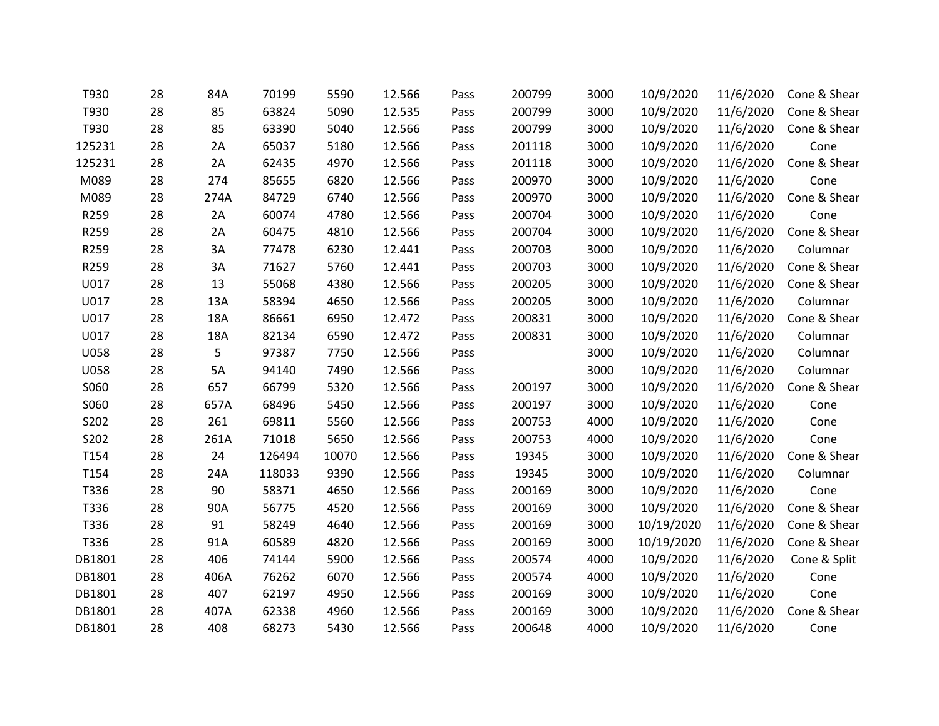| T930        | 28 | 84A  | 70199  | 5590  | 12.566 | Pass | 200799 | 3000 | 10/9/2020  | 11/6/2020 | Cone & Shear |
|-------------|----|------|--------|-------|--------|------|--------|------|------------|-----------|--------------|
| T930        | 28 | 85   | 63824  | 5090  | 12.535 | Pass | 200799 | 3000 | 10/9/2020  | 11/6/2020 | Cone & Shear |
| T930        | 28 | 85   | 63390  | 5040  | 12.566 | Pass | 200799 | 3000 | 10/9/2020  | 11/6/2020 | Cone & Shear |
| 125231      | 28 | 2A   | 65037  | 5180  | 12.566 | Pass | 201118 | 3000 | 10/9/2020  | 11/6/2020 | Cone         |
| 125231      | 28 | 2A   | 62435  | 4970  | 12.566 | Pass | 201118 | 3000 | 10/9/2020  | 11/6/2020 | Cone & Shear |
| M089        | 28 | 274  | 85655  | 6820  | 12.566 | Pass | 200970 | 3000 | 10/9/2020  | 11/6/2020 | Cone         |
| M089        | 28 | 274A | 84729  | 6740  | 12.566 | Pass | 200970 | 3000 | 10/9/2020  | 11/6/2020 | Cone & Shear |
| R259        | 28 | 2A   | 60074  | 4780  | 12.566 | Pass | 200704 | 3000 | 10/9/2020  | 11/6/2020 | Cone         |
| R259        | 28 | 2A   | 60475  | 4810  | 12.566 | Pass | 200704 | 3000 | 10/9/2020  | 11/6/2020 | Cone & Shear |
| R259        | 28 | 3A   | 77478  | 6230  | 12.441 | Pass | 200703 | 3000 | 10/9/2020  | 11/6/2020 | Columnar     |
| R259        | 28 | 3A   | 71627  | 5760  | 12.441 | Pass | 200703 | 3000 | 10/9/2020  | 11/6/2020 | Cone & Shear |
| U017        | 28 | 13   | 55068  | 4380  | 12.566 | Pass | 200205 | 3000 | 10/9/2020  | 11/6/2020 | Cone & Shear |
| U017        | 28 | 13A  | 58394  | 4650  | 12.566 | Pass | 200205 | 3000 | 10/9/2020  | 11/6/2020 | Columnar     |
| U017        | 28 | 18A  | 86661  | 6950  | 12.472 | Pass | 200831 | 3000 | 10/9/2020  | 11/6/2020 | Cone & Shear |
| U017        | 28 | 18A  | 82134  | 6590  | 12.472 | Pass | 200831 | 3000 | 10/9/2020  | 11/6/2020 | Columnar     |
| <b>U058</b> | 28 | 5    | 97387  | 7750  | 12.566 | Pass |        | 3000 | 10/9/2020  | 11/6/2020 | Columnar     |
| U058        | 28 | 5A   | 94140  | 7490  | 12.566 | Pass |        | 3000 | 10/9/2020  | 11/6/2020 | Columnar     |
| S060        | 28 | 657  | 66799  | 5320  | 12.566 | Pass | 200197 | 3000 | 10/9/2020  | 11/6/2020 | Cone & Shear |
| S060        | 28 | 657A | 68496  | 5450  | 12.566 | Pass | 200197 | 3000 | 10/9/2020  | 11/6/2020 | Cone         |
| S202        | 28 | 261  | 69811  | 5560  | 12.566 | Pass | 200753 | 4000 | 10/9/2020  | 11/6/2020 | Cone         |
| S202        | 28 | 261A | 71018  | 5650  | 12.566 | Pass | 200753 | 4000 | 10/9/2020  | 11/6/2020 | Cone         |
| T154        | 28 | 24   | 126494 | 10070 | 12.566 | Pass | 19345  | 3000 | 10/9/2020  | 11/6/2020 | Cone & Shear |
| T154        | 28 | 24A  | 118033 | 9390  | 12.566 | Pass | 19345  | 3000 | 10/9/2020  | 11/6/2020 | Columnar     |
| T336        | 28 | 90   | 58371  | 4650  | 12.566 | Pass | 200169 | 3000 | 10/9/2020  | 11/6/2020 | Cone         |
| T336        | 28 | 90A  | 56775  | 4520  | 12.566 | Pass | 200169 | 3000 | 10/9/2020  | 11/6/2020 | Cone & Shear |
| T336        | 28 | 91   | 58249  | 4640  | 12.566 | Pass | 200169 | 3000 | 10/19/2020 | 11/6/2020 | Cone & Shear |
| T336        | 28 | 91A  | 60589  | 4820  | 12.566 | Pass | 200169 | 3000 | 10/19/2020 | 11/6/2020 | Cone & Shear |
| DB1801      | 28 | 406  | 74144  | 5900  | 12.566 | Pass | 200574 | 4000 | 10/9/2020  | 11/6/2020 | Cone & Split |
| DB1801      | 28 | 406A | 76262  | 6070  | 12.566 | Pass | 200574 | 4000 | 10/9/2020  | 11/6/2020 | Cone         |
| DB1801      | 28 | 407  | 62197  | 4950  | 12.566 | Pass | 200169 | 3000 | 10/9/2020  | 11/6/2020 | Cone         |
| DB1801      | 28 | 407A | 62338  | 4960  | 12.566 | Pass | 200169 | 3000 | 10/9/2020  | 11/6/2020 | Cone & Shear |
| DB1801      | 28 | 408  | 68273  | 5430  | 12.566 | Pass | 200648 | 4000 | 10/9/2020  | 11/6/2020 | Cone         |